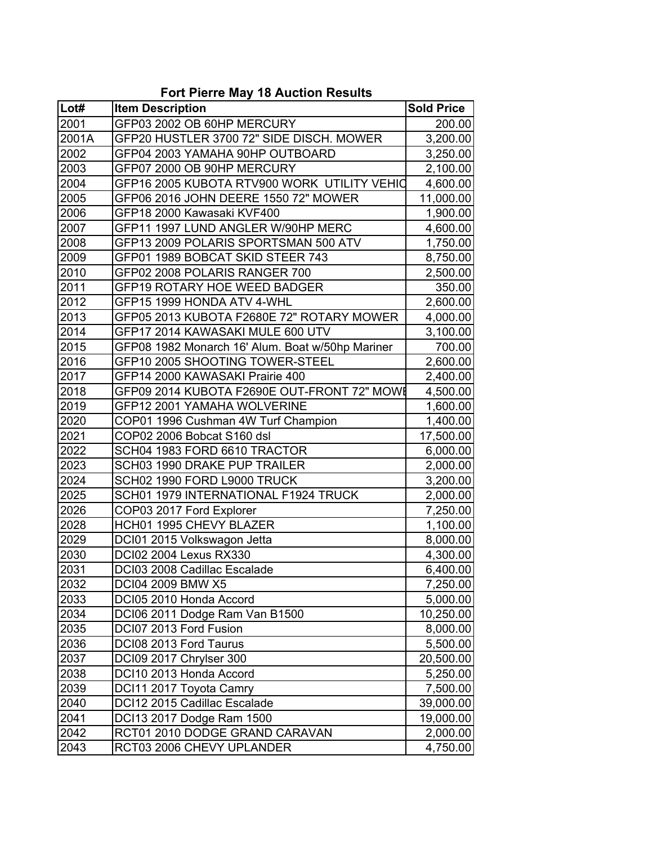| <b>Fort Pierre May 18 Auction Results</b> |  |  |
|-------------------------------------------|--|--|
|-------------------------------------------|--|--|

| Lot#  | <b>Item Description</b>                          | <b>Sold Price</b> |
|-------|--------------------------------------------------|-------------------|
| 2001  | GFP03 2002 OB 60HP MERCURY                       | 200.00            |
| 2001A | GFP20 HUSTLER 3700 72" SIDE DISCH. MOWER         | 3,200.00          |
| 2002  | GFP04 2003 YAMAHA 90HP OUTBOARD                  | 3,250.00          |
| 2003  | GFP07 2000 OB 90HP MERCURY                       | 2,100.00          |
| 2004  | GFP16 2005 KUBOTA RTV900 WORK UTILITY VEHIO      | 4,600.00          |
| 2005  | GFP06 2016 JOHN DEERE 1550 72" MOWER             | 11,000.00         |
| 2006  | GFP18 2000 Kawasaki KVF400                       | 1,900.00          |
| 2007  | GFP11 1997 LUND ANGLER W/90HP MERC               | 4,600.00          |
| 2008  | GFP13 2009 POLARIS SPORTSMAN 500 ATV             | 1,750.00          |
| 2009  | GFP01 1989 BOBCAT SKID STEER 743                 | 8,750.00          |
| 2010  | GFP02 2008 POLARIS RANGER 700                    | 2,500.00          |
| 2011  | <b>GFP19 ROTARY HOE WEED BADGER</b>              | 350.00            |
| 2012  | GFP15 1999 HONDA ATV 4-WHL                       | 2,600.00          |
| 2013  | GFP05 2013 KUBOTA F2680E 72" ROTARY MOWER        | 4,000.00          |
| 2014  | GFP17 2014 KAWASAKI MULE 600 UTV                 | 3,100.00          |
| 2015  | GFP08 1982 Monarch 16' Alum. Boat w/50hp Mariner | 700.00            |
| 2016  | GFP10 2005 SHOOTING TOWER-STEEL                  | 2,600.00          |
| 2017  | GFP14 2000 KAWASAKI Prairie 400                  | 2,400.00          |
| 2018  | GFP09 2014 KUBOTA F2690E OUT-FRONT 72" MOW       | 4,500.00          |
| 2019  | GFP12 2001 YAMAHA WOLVERINE                      | 1,600.00          |
| 2020  | COP01 1996 Cushman 4W Turf Champion              | 1,400.00          |
| 2021  | COP02 2006 Bobcat S160 dsl                       | 17,500.00         |
| 2022  | SCH04 1983 FORD 6610 TRACTOR                     | 6,000.00          |
| 2023  | SCH03 1990 DRAKE PUP TRAILER                     | 2,000.00          |
| 2024  | SCH02 1990 FORD L9000 TRUCK                      | 3,200.00          |
| 2025  | SCH01 1979 INTERNATIONAL F1924 TRUCK             | 2,000.00          |
| 2026  | COP03 2017 Ford Explorer                         | 7,250.00          |
| 2028  | <b>HCH01 1995 CHEVY BLAZER</b>                   | 1,100.00          |
| 2029  | DCI01 2015 Volkswagon Jetta                      | 8,000.00          |
| 2030  | <b>DCI02 2004 Lexus RX330</b>                    | 4,300.00          |
| 2031  | DCI03 2008 Cadillac Escalade                     | 6,400.00          |
| 2032  | DCI04 2009 BMW X5                                | 7,250.00          |
| 2033  | DCI05 2010 Honda Accord                          | 5,000.00          |
| 2034  | DCI06 2011 Dodge Ram Van B1500                   | 10,250.00         |
| 2035  | DCI07 2013 Ford Fusion                           | 8,000.00          |
| 2036  | DCI08 2013 Ford Taurus                           | 5,500.00          |
| 2037  | DCI09 2017 Chrylser 300                          | 20,500.00         |
| 2038  | DCI10 2013 Honda Accord                          | 5,250.00          |
| 2039  | DCI11 2017 Toyota Camry                          | 7,500.00          |
| 2040  | DCI12 2015 Cadillac Escalade                     | 39,000.00         |
| 2041  | DCI13 2017 Dodge Ram 1500                        | 19,000.00         |
| 2042  | RCT01 2010 DODGE GRAND CARAVAN                   | 2,000.00          |
| 2043  | RCT03 2006 CHEVY UPLANDER                        | 4,750.00          |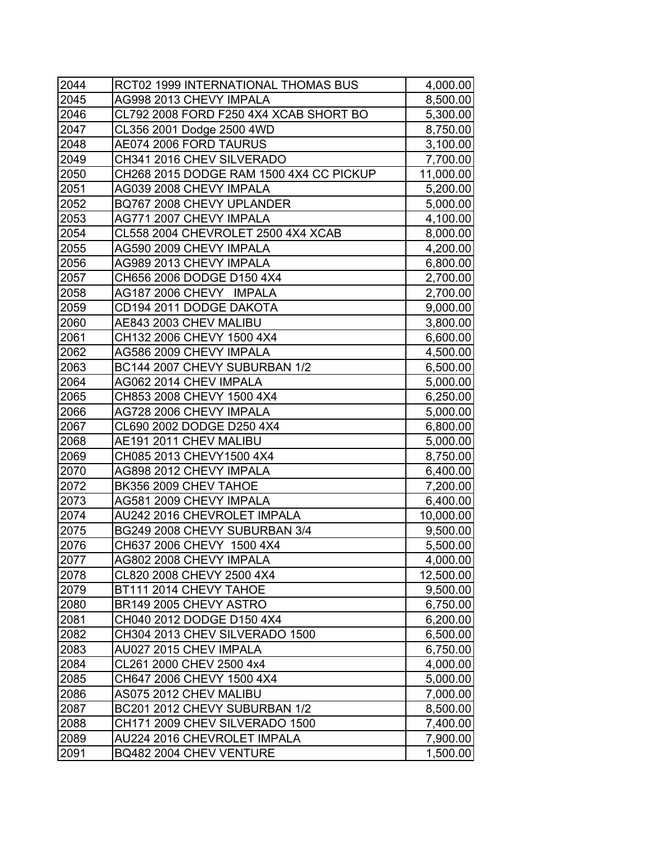| 2044 | RCT02 1999 INTERNATIONAL THOMAS BUS     | 4,000.00  |
|------|-----------------------------------------|-----------|
| 2045 | AG998 2013 CHEVY IMPALA                 | 8,500.00  |
| 2046 | CL792 2008 FORD F250 4X4 XCAB SHORT BO  | 5,300.00  |
| 2047 | CL356 2001 Dodge 2500 4WD               | 8,750.00  |
| 2048 | AE074 2006 FORD TAURUS                  | 3,100.00  |
| 2049 | CH341 2016 CHEV SILVERADO               | 7,700.00  |
| 2050 | CH268 2015 DODGE RAM 1500 4X4 CC PICKUP | 11,000.00 |
| 2051 | AG039 2008 CHEVY IMPALA                 | 5,200.00  |
| 2052 | BQ767 2008 CHEVY UPLANDER               | 5,000.00  |
| 2053 | AG771 2007 CHEVY IMPALA                 | 4,100.00  |
| 2054 | CL558 2004 CHEVROLET 2500 4X4 XCAB      | 8,000.00  |
| 2055 | AG590 2009 CHEVY IMPALA                 | 4,200.00  |
| 2056 | AG989 2013 CHEVY IMPALA                 | 6,800.00  |
| 2057 | CH656 2006 DODGE D150 4X4               | 2,700.00  |
| 2058 | AG187 2006 CHEVY IMPALA                 | 2,700.00  |
| 2059 | CD194 2011 DODGE DAKOTA                 | 9,000.00  |
| 2060 | AE843 2003 CHEV MALIBU                  | 3,800.00  |
| 2061 | CH132 2006 CHEVY 1500 4X4               | 6,600.00  |
| 2062 | AG586 2009 CHEVY IMPALA                 | 4,500.00  |
| 2063 | BC144 2007 CHEVY SUBURBAN 1/2           | 6,500.00  |
| 2064 | AG062 2014 CHEV IMPALA                  | 5,000.00  |
| 2065 | CH853 2008 CHEVY 1500 4X4               | 6,250.00  |
| 2066 | AG728 2006 CHEVY IMPALA                 | 5,000.00  |
| 2067 | CL690 2002 DODGE D250 4X4               | 6,800.00  |
| 2068 | AE191 2011 CHEV MALIBU                  | 5,000.00  |
| 2069 | CH085 2013 CHEVY1500 4X4                | 8,750.00  |
| 2070 | AG898 2012 CHEVY IMPALA                 | 6,400.00  |
| 2072 | BK356 2009 CHEV TAHOE                   | 7,200.00  |
| 2073 | AG581 2009 CHEVY IMPALA                 | 6,400.00  |
| 2074 | AU242 2016 CHEVROLET IMPALA             | 10,000.00 |
| 2075 | BG249 2008 CHEVY SUBURBAN 3/4           | 9,500.00  |
| 2076 | CH637 2006 CHEVY 1500 4X4               | 5,500.00  |
| 2077 | AG802 2008 CHEVY IMPALA                 | 4,000.00  |
| 2078 | CL820 2008 CHEVY 2500 4X4               | 12,500.00 |
| 2079 | BT111 2014 CHEVY TAHOE                  | 9,500.00  |
| 2080 | BR149 2005 CHEVY ASTRO                  | 6,750.00  |
| 2081 | CH040 2012 DODGE D150 4X4               | 6,200.00  |
| 2082 | CH304 2013 CHEV SILVERADO 1500          | 6,500.00  |
| 2083 | AU027 2015 CHEV IMPALA                  | 6,750.00  |
| 2084 | CL261 2000 CHEV 2500 4x4                | 4,000.00  |
| 2085 | CH647 2006 CHEVY 1500 4X4               | 5,000.00  |
| 2086 | AS075 2012 CHEV MALIBU                  | 7,000.00  |
| 2087 | BC201 2012 CHEVY SUBURBAN 1/2           | 8,500.00  |
| 2088 | CH171 2009 CHEV SILVERADO 1500          | 7,400.00  |
| 2089 | AU224 2016 CHEVROLET IMPALA             | 7,900.00  |
| 2091 | BQ482 2004 CHEV VENTURE                 | 1,500.00  |